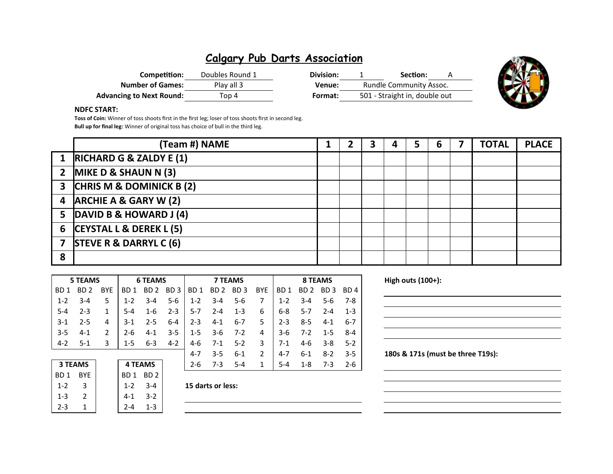## **Calgary Pub Darts Association**

| Competition:                    | Doubles Round 1 | Division: | Section:                       |
|---------------------------------|-----------------|-----------|--------------------------------|
| <b>Number of Games:</b>         | Play all 3      | Venue:    | <b>Rundle Community Assoc.</b> |
| <b>Advancing to Next Round:</b> | Top 4           | Format:   | 501 - Straight in, double out  |



### **NDFC START:**

**Toss of Coin:** Winner of toss shoots first in the first leg; loser of toss shoots first in second leg. **Bull up for final leg:** Winner of original toss has choice of bull in the third leg.

|                         | (Team #) NAME                      |  |  | 5 |  | <b>TOTAL</b> | <b>PLACE</b> |
|-------------------------|------------------------------------|--|--|---|--|--------------|--------------|
| $\mathbf 1$             | RICHARD G & ZALDY E (1)            |  |  |   |  |              |              |
|                         | 2 MIKE D & SHAUN N $(3)$           |  |  |   |  |              |              |
|                         | 3 CHRIS M & DOMINICK B (2)         |  |  |   |  |              |              |
|                         | 4 ARCHIE A & GARY W (2)            |  |  |   |  |              |              |
|                         | 5 DAVID B & HOWARD J (4)           |  |  |   |  |              |              |
| 6                       | <b>CEYSTAL L &amp; DEREK L (5)</b> |  |  |   |  |              |              |
| $\overline{\mathbf{z}}$ | <b>STEVE R &amp; DARRYL C (6)</b>  |  |  |   |  |              |              |
| 8                       |                                    |  |  |   |  |              |              |

|         | <b>5 TEAMS</b> |               |         | <b>6 TEAMS</b> |       |             |         | <b>7 TEAMS</b>                                  |                | 8 TEAMS |                 |                 |         |  |
|---------|----------------|---------------|---------|----------------|-------|-------------|---------|-------------------------------------------------|----------------|---------|-----------------|-----------------|---------|--|
|         |                |               |         |                |       |             |         |                                                 |                |         |                 |                 |         |  |
| BD 1    | BD 2 BYE       |               |         |                |       |             |         | BD1 BD2 BD3 BD1 BD2 BD3 BYE                     |                |         |                 | BD1 BD2 BD3 BD4 |         |  |
| $1 - 2$ | $3 - 4$        | 5.            |         |                |       |             |         | $1 - 2$ $3 - 4$ $5 - 6$ $1 - 2$ $3 - 4$ $5 - 6$ | $\overline{7}$ |         | $1 - 2$ $3 - 4$ | 5-6             | 7-8     |  |
| $5 - 4$ | $2 - 3$        | 1             | 5-4     |                |       |             |         | $1-6$ $2-3$ $15-7$ $2-4$ $1-3$                  | 6              |         | 6-8 5-7         | $2 - 4$         | $1 - 3$ |  |
| $3-1$   | $2 - 5$        | 4             | $3-1$   | $2 - 5$        |       | $6-4$   2-3 | 4-1     | $6-7$                                           | 5              | $2 - 3$ | 8-5             | $4 - 1$         | 6-7     |  |
| $-3-5$  | 4-1            | $\mathcal{P}$ | $2 - 6$ |                |       |             |         | $4-1$ $3-5$ $1-5$ $3-6$ $7-2$                   | 4              |         | $3-6$ 7-2       | $1 - 5$ 8-4     |         |  |
| $4-2$   | $5-1$          | 3             | $1-5$   | 6-3            | $4-2$ |             |         | 4-6 7-1 5-2                                     | $\mathbf{3}$   | 7-1     | 4-6             | -3-8            | $5-2$   |  |
|         |                |               |         |                |       | 4-7         | $3 - 5$ | $6 - 1$                                         | 2              | 4-7     | 6-1             | $8-2$           | $3-5$   |  |

| <b>3 TEAMS</b>  |               | <b>4 TEAMS</b> |         |
|-----------------|---------------|----------------|---------|
| BD <sub>1</sub> | <b>BYE</b>    | BD1 BD2        |         |
| $1 - 2$         | 3             | $1 - 2$        | $3 - 4$ |
| $1 - 3$         | $\mathcal{L}$ | $4 - 1$        | $3-2$   |
| $2 - 3$         |               | 2-4            | 1-3     |

**3 TEAMS 4 TEAMS** 2-6 7-3 5-4 1 5-4 1-8 7-3 2-6

### **High outs (100+):**

180s & 171s (must be three T19s):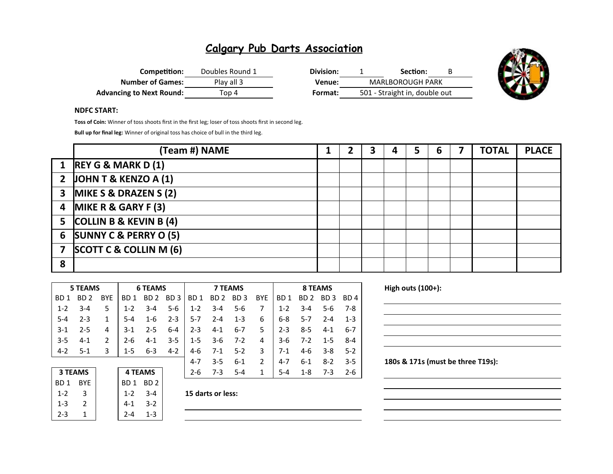## **Calgary Pub Darts Association**

| Competition:                    | Doubles Round 1 | Division: | Section:                      | B. |
|---------------------------------|-----------------|-----------|-------------------------------|----|
| <b>Number of Games:</b>         | Play all 3      | Venue:    | <b>MARLBOROUGH PARK</b>       |    |
| <b>Advancing to Next Round:</b> | Top 4           | Format:   | 501 - Straight in, double out |    |



### **NDFC START:**

**Toss of Coin:** Winner of toss shoots first in the first leg; loser of toss shoots first in second leg.

**Bull up for final leg:** Winner of original toss has choice of bull in the third leg.

|                | (Team #) NAME                    | ּ״ | 3 | 4 | 6 | <b>TOTAL</b> | <b>PLACE</b> |
|----------------|----------------------------------|----|---|---|---|--------------|--------------|
|                | 1 REY G & MARK D (1)             |    |   |   |   |              |              |
|                | 2 JOHN T & KENZO A $(1)$         |    |   |   |   |              |              |
| 3 <sup>1</sup> | <b>MIKE S &amp; DRAZEN S (2)</b> |    |   |   |   |              |              |
|                | 4 MIKE R & GARY F (3)            |    |   |   |   |              |              |
|                | 5 COLLIN B & KEVIN B (4)         |    |   |   |   |              |              |
|                | 6 SUNNY C & PERRY O (5)          |    |   |   |   |              |              |
| $\overline{7}$ | SCOTT C & COLLIN M (6)           |    |   |   |   |              |              |
| 8              |                                  |    |   |   |   |              |              |

|                                  | <b>5 TEAMS</b> |            |                 | <b>6 TEAMS</b>  |                 |                 |                 | <b>7 TEAMS</b>  |               |                 |                 | <b>8 TEAMS</b>  |                 |  |  |
|----------------------------------|----------------|------------|-----------------|-----------------|-----------------|-----------------|-----------------|-----------------|---------------|-----------------|-----------------|-----------------|-----------------|--|--|
| BD 1                             | BD 2           | <b>BYE</b> | BD 1            | BD <sub>2</sub> | BD <sub>3</sub> | BD <sub>1</sub> | BD <sub>2</sub> | BD <sub>3</sub> | <b>BYE</b>    | BD <sub>1</sub> | BD <sub>2</sub> | BD <sub>3</sub> | BD <sub>4</sub> |  |  |
| $1 - 2$                          | $3 - 4$        | 5          | $1 - 2$         | $3 - 4$         | $5-6$           | $1 - 2$         | $3 - 4$         | $5 - 6$         | 7             | $1 - 2$         | $3 - 4$         | $5-6$           | 7-8             |  |  |
| $5 - 4$                          | $2 - 3$        | 1          | 5-4             | $1 - 6$         | $2 - 3$         | $5 - 7$         | $2 - 4$         | $1 - 3$         | 6             | $6 - 8$         | $5 - 7$         | $2 - 4$         | $1 - 3$         |  |  |
| $3 - 1$                          | $2 - 5$        | 4          | $3-1$           | $2 - 5$         | $6 - 4$         | $2 - 3$         | $4-1$           | $6 - 7$         | 5             | $2 - 3$         | $8 - 5$         | $4 - 1$         | $6 - 7$         |  |  |
| $3 - 5$                          | $4 - 1$        | 2          | $2 - 6$         | $4 - 1$         | $3 - 5$         | $1 - 5$         | $3-6$           | $7 - 2$         | 4             | $3-6$           | $7 - 2$         | $1 - 5$         | $8 - 4$         |  |  |
| $4-2$                            | $5-1$          | 3          | $1 - 5$         | $6 - 3$         | $4 - 2$         | 4-6             | $7-1$           | $5 - 2$         | 3             | $7-1$           | 4-6             | $3 - 8$         | $5-2$           |  |  |
|                                  |                |            |                 |                 |                 | $4 - 7$         | $3 - 5$         | $6 - 1$         | $\mathcal{P}$ | $4 - 7$         | $6 - 1$         | $8 - 2$         | $3 - 5$         |  |  |
| <b>3 TEAMS</b><br><b>4 TEAMS</b> |                |            |                 | $2 - 6$         | $7-3$           | $5 - 4$         | 1               | $5 - 4$         | $1 - 8$       | $7-3$           | $2 - 6$         |                 |                 |  |  |
| BD <sub>1</sub>                  | <b>BYE</b>     |            | BD <sub>1</sub> | BD <sub>2</sub> |                 |                 |                 |                 |               |                 |                 |                 |                 |  |  |

| BD <sub>1</sub> | <b>BYE</b> | BD <sub>1</sub> | BD <sub>2</sub> |
|-----------------|------------|-----------------|-----------------|
| $1 - 2$         | ว          | $1 - 2$         | $3 - 4$         |
| $1 - 3$         | 7          | 4-1             | $3-2$           |
| $2 - 3$         |            |                 | 1-3             |
|                 |            |                 |                 |

1-2 3 1-2 3-4 **15 darts or less:**

**High outs (100+):** 

180s & 171s (must be three T19s):